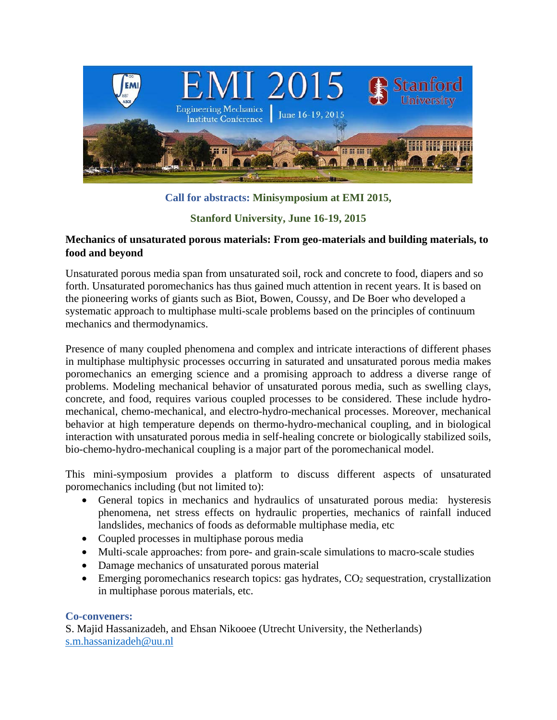

# **Call for abstracts: Minisymposium at EMI 2015,**

# **Stanford University, June 16-19, 2015**

## **Mechanics of unsaturated porous materials: From geo-materials and building materials, to food and beyond**

Unsaturated porous media span from unsaturated soil, rock and concrete to food, diapers and so forth. Unsaturated poromechanics has thus gained much attention in recent years. It is based on the pioneering works of giants such as Biot, Bowen, Coussy, and De Boer who developed a systematic approach to multiphase multi-scale problems based on the principles of continuum mechanics and thermodynamics.

Presence of many coupled phenomena and complex and intricate interactions of different phases in multiphase multiphysic processes occurring in saturated and unsaturated porous media makes poromechanics an emerging science and a promising approach to address a diverse range of problems. Modeling mechanical behavior of unsaturated porous media, such as swelling clays, concrete, and food, requires various coupled processes to be considered. These include hydromechanical, chemo-mechanical, and electro-hydro-mechanical processes. Moreover, mechanical behavior at high temperature depends on thermo-hydro-mechanical coupling, and in biological interaction with unsaturated porous media in self-healing concrete or biologically stabilized soils, bio-chemo-hydro-mechanical coupling is a major part of the poromechanical model.

This mini-symposium provides a platform to discuss different aspects of unsaturated poromechanics including (but not limited to):

- General topics in mechanics and hydraulics of unsaturated porous media: hysteresis phenomena, net stress effects on hydraulic properties, mechanics of rainfall induced landslides, mechanics of foods as deformable multiphase media, etc
- Coupled processes in multiphase porous media
- Multi-scale approaches: from pore- and grain-scale simulations to macro-scale studies
- Damage mechanics of unsaturated porous material
- Emerging poromechanics research topics: gas hydrates,  $CO<sub>2</sub>$  sequestration, crystallization in multiphase porous materials, etc.

## **Co-conveners:**

S. Majid Hassanizadeh, and Ehsan Nikooee (Utrecht University, the Netherlands) s.m.hassanizadeh@uu.nl